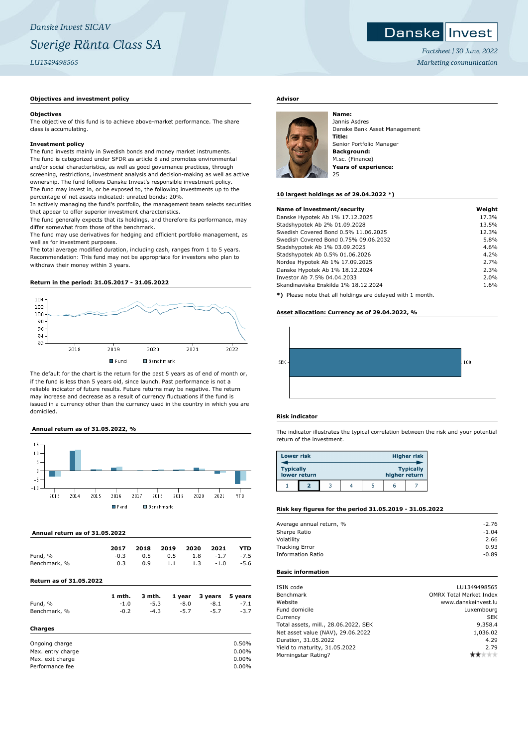# *Danske Invest SICAV Sverige Ränta Class SA LU1349498565*

# **Objectives and investment policy**

#### **Objectives**

The objective of this fund is to achieve above-market performance. The share class is accumulating.

#### **Investment policy**

The fund invests mainly in Swedish bonds and money market instruments. The fund is categorized under SFDR as article 8 and promotes environmental and/or social characteristics, as well as good governance practices, through screening, restrictions, investment analysis and decision-making as well as active ownership. The fund follows Danske Invest's responsible investment policy. The fund may invest in, or be exposed to, the following investments up to the percentage of net assets indicated: unrated bonds: 20%.

In actively managing the fund's portfolio, the management team selects securities that appear to offer superior investment characteristics.

The fund generally expects that its holdings, and therefore its performance, may differ somewhat from those of the benchmark.

The fund may use derivatives for hedging and efficient portfolio management, as well as for investment purposes.

The total average modified duration, including cash, ranges from 1 to 5 years. Recommendation: This fund may not be appropriate for investors who plan to withdraw their money within 3 years.

#### **Return in the period: 31.05.2017 - 31.05.2022**



The default for the chart is the return for the past 5 years as of end of month or, if the fund is less than 5 years old, since launch. Past performance is not a reliable indicator of future results. Future returns may be negative. The return may increase and decrease as a result of currency fluctuations if the fund is issued in a currency other than the currency used in the country in which you are domiciled.

# **Annual return as of 31.05.2022, %**



#### **Annual return as of 31.05.2022**

|              | 2017   | 2018 | 2019 2020 |     | 2021        | <b>YTD</b> |
|--------------|--------|------|-----------|-----|-------------|------------|
| Fund, %      | $-0.3$ | 0.5  | 0.5       |     | $1.8 - 1.7$ | $-7.5$     |
| Benchmark, % | 0.3    | 0.9  | 1.1       | 1.3 | $-1.0$      | $-5.6$     |
|              |        |      |           |     |             |            |

# **Return as of 31.05.2022**

|              | 1 mth. |        |        | 3 mth. 1 year 3 years 5 years |        |
|--------------|--------|--------|--------|-------------------------------|--------|
| Fund, %      | $-1.0$ | $-5.3$ | -8.0   | -8.1                          | $-7.1$ |
| Benchmark, % | $-0.2$ | $-4.3$ | $-5.7$ | $-5.7$                        | $-3.7$ |

### **Charges**

| Ongoing charge    | 0.50%    |
|-------------------|----------|
| Max. entry charge | $0.00\%$ |
| Max. exit charge  | $0.00\%$ |
| Performance fee   | $0.00\%$ |

# **Advisor**



Jannis Asdres Danske Bank Asset Management **Title:** Senior Portfolio Manager **Background:** M.sc. (Finance) **Years of experience:** 25

#### **10 largest holdings as of 29.04.2022 \*)**

| Name of investment/security                                       | Weight |
|-------------------------------------------------------------------|--------|
| Danske Hypotek Ab 1% 17.12.2025                                   | 17.3%  |
| Stadshypotek Ab 2% 01.09.2028                                     | 13.5%  |
| Swedish Covered Bond 0.5% 11.06.2025                              | 12.3%  |
| Swedish Covered Bond 0.75% 09.06.2032                             | 5.8%   |
| Stadshypotek Ab 1% 03.09.2025                                     | 4.6%   |
| Stadshypotek Ab 0.5% 01.06.2026                                   | 4.2%   |
| Nordea Hypotek Ab 1% 17.09.2025                                   | 2.7%   |
| Danske Hypotek Ab 1% 18.12.2024                                   | 2.3%   |
| Investor Ab 7.5% 04.04.2033                                       | 2.0%   |
| Skandinaviska Enskilda 1% 18.12.2024                              | 1.6%   |
| <b>*1</b> Dispos pota that all haldings are delayed with 1 menth. |        |

**\*)** Please note that all holdings are delayed with 1 month.

### **Asset allocation: Currency as of 29.04.2022, %**



## **Risk indicator**

The indicator illustrates the typical correlation between the risk and your potential return of the investment.

| <b>Lower risk</b> |              |  |               | <b>Higher risk</b> |
|-------------------|--------------|--|---------------|--------------------|
| <b>Typically</b>  | lower return |  | higher return | <b>Typically</b>   |
|                   |              |  |               |                    |

# **Risk key figures for the period 31.05.2019 - 31.05.2022**

| Average annual return, % | $-2.76$ |
|--------------------------|---------|
| Sharpe Ratio             | $-1.04$ |
| Volatility               | 2.66    |
| <b>Tracking Error</b>    | 0.93    |
| <b>Information Ratio</b> | $-0.89$ |
|                          |         |

# **Basic information**

| ISIN code                            | LU1349498565                   |
|--------------------------------------|--------------------------------|
| Benchmark                            | <b>OMRX Total Market Index</b> |
| Website                              | www.danskeinvest.lu            |
| Fund domicile                        | Luxembourg                     |
| Currency                             | <b>SEK</b>                     |
| Total assets, mill., 28.06.2022, SEK | 9,358.4                        |
| Net asset value (NAV), 29.06.2022    | 1.036.02                       |
| Duration, 31.05.2022                 | 4.29                           |
| Yield to maturity, 31.05.2022        | 2.79                           |
| Morningstar Rating?                  |                                |

# Danske Invest

*Factsheet | 30 June, 2022 Marketing communication*